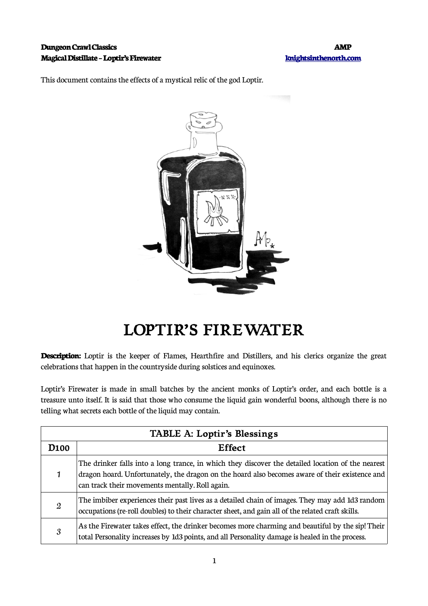## **Dungeon Crawl Classics AMP Magical Distillate – Loptir's Firewater [knightsinthenorth.com](http://knightsinthenorth.com/)**

This document contains the effects of a mystical relic of the god Loptir.



## **LOPTIR'S FIREWATER**

**Description:** Loptir is the keeper of Flames, Hearthfire and Distillers, and his clerics organize the great celebrations that happen in the countryside during solstices and equinoxes.

Loptir's Firewater is made in small batches by the ancient monks of Loptir's order, and each bottle is a treasure unto itself. It is said that those who consume the liquid gain wonderful boons, although there is no telling what secrets each bottle of the liquid may contain.

| <b>TABLE A: Loptir's Blessings</b> |                                                                                                                                                                                                                                                        |
|------------------------------------|--------------------------------------------------------------------------------------------------------------------------------------------------------------------------------------------------------------------------------------------------------|
| D <sub>100</sub>                   | <b>Effect</b>                                                                                                                                                                                                                                          |
|                                    | The drinker falls into a long trance, in which they discover the detailed location of the nearest<br>dragon hoard. Unfortunately, the dragon on the hoard also becomes aware of their existence and<br>can track their movements mentally. Roll again. |
| $\mathfrak{2}$                     | The imbiber experiences their past lives as a detailed chain of images. They may add 1d3 random<br>occupations (re-roll doubles) to their character sheet, and gain all of the related craft skills.                                                   |
| 3                                  | As the Firewater takes effect, the drinker becomes more charming and beautiful by the sip! Their<br>total Personality increases by 1d3 points, and all Personality damage is healed in the process.                                                    |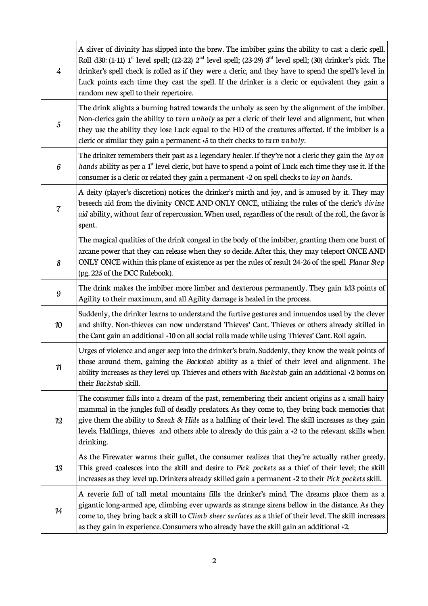| $\overline{4}$           | A sliver of divinity has slipped into the brew. The imbiber gains the ability to cast a cleric spell.<br>Roll d30: (1-11) $1^{\text{st}}$ level spell; (12-22) $2^{\text{nd}}$ level spell; (23-29) $3^{\text{rd}}$ level spell; (30) drinker's pick. The<br>drinker's spell check is rolled as if they were a cleric, and they have to spend the spell's level in<br>Luck points each time they cast the spell. If the drinker is a cleric or equivalent they gain a<br>random new spell to their repertoire. |
|--------------------------|----------------------------------------------------------------------------------------------------------------------------------------------------------------------------------------------------------------------------------------------------------------------------------------------------------------------------------------------------------------------------------------------------------------------------------------------------------------------------------------------------------------|
| 5                        | The drink alights a burning hatred towards the unholy as seen by the alignment of the imbiber.<br>Non-clerics gain the ability to turn unholy as per a cleric of their level and alignment, but when<br>they use the ability they lose Luck equal to the HD of the creatures affected. If the imbiber is a<br>cleric or similar they gain a permanent +5 to their checks to turn unholy.                                                                                                                       |
| 6                        | The drinker remembers their past as a legendary healer. If they're not a cleric they gain the lay on<br>hands ability as per a 1 <sup>st</sup> level cleric, but have to spend a point of Luck each time they use it. If the<br>consumer is a cleric or related they gain a permanent +2 on spell checks to lay on hands.                                                                                                                                                                                      |
| $\overline{\mathcal{C}}$ | A deity (player's discretion) notices the drinker's mirth and joy, and is amused by it. They may<br>beseech aid from the divinity ONCE AND ONLY ONCE, utilizing the rules of the cleric's divine<br>aid ability, without fear of repercussion. When used, regardless of the result of the roll, the favor is<br>spent.                                                                                                                                                                                         |
| 8                        | The magical qualities of the drink congeal in the body of the imbiber, granting them one burst of<br>arcane power that they can release when they so decide. After this, they may teleport ONCE AND<br>ONLY ONCE within this plane of existence as per the rules of result 24-26 of the spell Planar Step<br>(pg. 225 of the DCC Rulebook).                                                                                                                                                                    |
| 9                        | The drink makes the imbiber more limber and dexterous permanently. They gain 1d3 points of<br>Agility to their maximum, and all Agility damage is healed in the process.                                                                                                                                                                                                                                                                                                                                       |
| 10                       | Suddenly, the drinker learns to understand the furtive gestures and innuendos used by the clever<br>and shifty. Non-thieves can now understand Thieves' Cant. Thieves or others already skilled in<br>the Cant gain an additional +10 on all social rolls made while using Thieves' Cant. Roll again.                                                                                                                                                                                                          |
| 11                       | Urges of violence and anger seep into the drinker's brain. Suddenly, they know the weak points of<br>those around them, gaining the Backstab ability as a thief of their level and alignment. The<br>ability increases as they level up. Thieves and others with Backstab gain an additional +2 bonus on<br>their Backstab skill.                                                                                                                                                                              |
| 12                       | The consumer falls into a dream of the past, remembering their ancient origins as a small hairy<br>mammal in the jungles full of deadly predators. As they come to, they bring back memories that<br>give them the ability to Sneak & Hide as a halfling of their level. The skill increases as they gain<br>levels. Halflings, thieves and others able to already do this gain $a + 2$ to the relevant skills when<br>drinking.                                                                               |
| 13                       | As the Firewater warms their gullet, the consumer realizes that they're actually rather greedy.<br>This greed coalesces into the skill and desire to Pick pockets as a thief of their level; the skill<br>increases as they level up. Drinkers already skilled gain a permanent +2 to their Pick pockets skill.                                                                                                                                                                                                |
| 14                       | A reverie full of tall metal mountains fills the drinker's mind. The dreams place them as a<br>gigantic long-armed ape, climbing ever upwards as strange sirens bellow in the distance. As they<br>come to, they bring back a skill to Climb sheer surfaces as a thief of their level. The skill increases<br>as they gain in experience. Consumers who already have the skill gain an additional +2.                                                                                                          |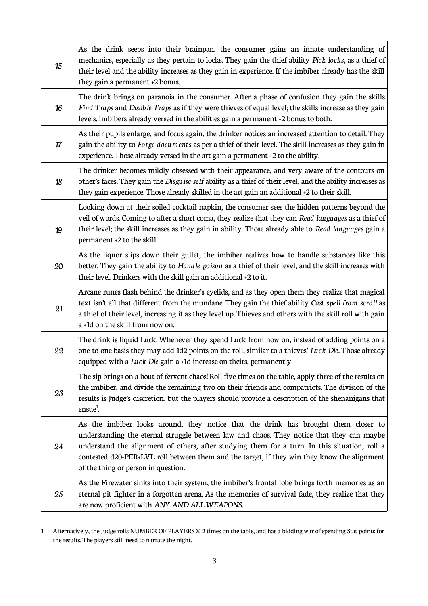| 15 | As the drink seeps into their brainpan, the consumer gains an innate understanding of<br>mechanics, especially as they pertain to locks. They gain the thief ability Pick locks, as a thief of<br>their level and the ability increases as they gain in experience. If the imbiber already has the skill<br>they gain a permanent +2 bonus.                                                                            |
|----|------------------------------------------------------------------------------------------------------------------------------------------------------------------------------------------------------------------------------------------------------------------------------------------------------------------------------------------------------------------------------------------------------------------------|
| 16 | The drink brings on paranoia in the consumer. After a phase of confusion they gain the skills<br>Find Traps and Disable Traps as if they were thieves of equal level; the skills increase as they gain<br>levels. Imbibers already versed in the abilities gain a permanent +2 bonus to both.                                                                                                                          |
| 17 | As their pupils enlarge, and focus again, the drinker notices an increased attention to detail. They<br>gain the ability to Forge documents as per a thief of their level. The skill increases as they gain in<br>experience. Those already versed in the art gain a permanent +2 to the ability.                                                                                                                      |
| 18 | The drinker becomes mildly obsessed with their appearance, and very aware of the contours on<br>other's faces. They gain the Disguise self ability as a thief of their level, and the ability increases as<br>they gain experience. Those already skilled in the art gain an additional +2 to their skill.                                                                                                             |
| 19 | Looking down at their soiled cocktail napkin, the consumer sees the hidden patterns beyond the<br>veil of words. Coming to after a short coma, they realize that they can Read languages as a thief of<br>their level; the skill increases as they gain in ability. Those already able to Read languages gain a<br>permanent +2 to the skill.                                                                          |
| 20 | As the liquor slips down their gullet, the imbiber realizes how to handle substances like this<br>better. They gain the ability to Handle poison as a thief of their level, and the skill increases with<br>their level. Drinkers with the skill gain an additional +2 to it.                                                                                                                                          |
| 21 | Arcane runes flash behind the drinker's eyelids, and as they open them they realize that magical<br>text isn't all that different from the mundane. They gain the thief ability Cast spell from scroll as<br>a thief of their level, increasing it as they level up. Thieves and others with the skill roll with gain<br>a +1d on the skill from now on.                                                               |
| 22 | The drink is liquid Luck! Whenever they spend Luck from now on, instead of adding points on a<br>one-to-one basis they may add 1d2 points on the roll, similar to a thieves' Luck Die. Those already<br>equipped with a <i>Luck Die</i> gain a +1d increase on theirs, permanently                                                                                                                                     |
| 23 | The sip brings on a bout of fervent chaos! Roll five times on the table, apply three of the results on<br>the imbiber, and divide the remaining two on their friends and compatriots. The division of the<br>results is Judge's discretion, but the players should provide a description of the shenanigans that<br>$ensue1$ .                                                                                         |
| 24 | As the imbiber looks around, they notice that the drink has brought them closer to<br>understanding the eternal struggle between law and chaos. They notice that they can maybe<br>understand the alignment of others, after studying them for a turn. In this situation, roll a<br>contested d20+PER+LVL roll between them and the target, if they win they know the alignment<br>of the thing or person in question. |
| 25 | As the Firewater sinks into their system, the imbiber's frontal lobe brings forth memories as an<br>eternal pit fighter in a forgotten arena. As the memories of survival fade, they realize that they<br>are now proficient with ANY AND ALL WEAPONS.                                                                                                                                                                 |

<span id="page-2-0"></span><sup>1</sup> Alternatively, the Judge rolls NUMBER OF PLAYERS X 2 times on the table, and has a bidding war of spending Stat points for the results. The players still need to narrate the night.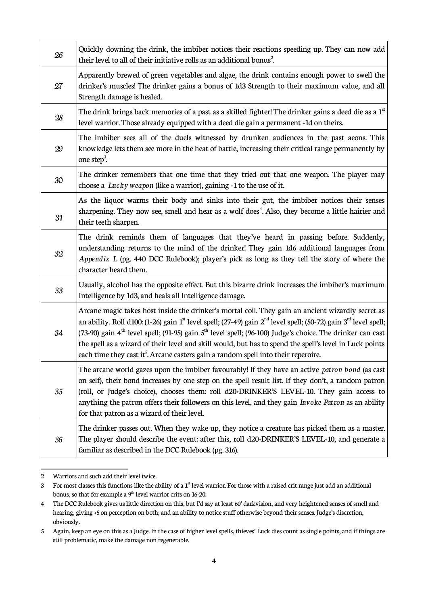| 26 | Quickly downing the drink, the imbiber notices their reactions speeding up. They can now add<br>their level to all of their initiative rolls as an additional bonus <sup>2</sup> .                                                                                                                                                                                                                                                                                                                                                                                                     |
|----|----------------------------------------------------------------------------------------------------------------------------------------------------------------------------------------------------------------------------------------------------------------------------------------------------------------------------------------------------------------------------------------------------------------------------------------------------------------------------------------------------------------------------------------------------------------------------------------|
| 27 | Apparently brewed of green vegetables and algae, the drink contains enough power to swell the<br>drinker's muscles! The drinker gains a bonus of 1d3 Strength to their maximum value, and all<br>Strength damage is healed.                                                                                                                                                                                                                                                                                                                                                            |
| 28 | The drink brings back memories of a past as a skilled fighter! The drinker gains a deed die as a $1st$<br>level warrior. Those already equipped with a deed die gain a permanent +1d on theirs.                                                                                                                                                                                                                                                                                                                                                                                        |
| 29 | The imbiber sees all of the duels witnessed by drunken audiences in the past aeons. This<br>knowledge lets them see more in the heat of battle, increasing their critical range permanently by<br>one step <sup>3</sup> .                                                                                                                                                                                                                                                                                                                                                              |
| 30 | The drinker remembers that one time that they tried out that one weapon. The player may<br>choose a Lucky weapon (like a warrior), gaining +1 to the use of it.                                                                                                                                                                                                                                                                                                                                                                                                                        |
| 31 | As the liquor warms their body and sinks into their gut, the imbiber notices their senses<br>sharpening. They now see, smell and hear as a wolf does <sup>4</sup> . Also, they become a little hairier and<br>their teeth sharpen.                                                                                                                                                                                                                                                                                                                                                     |
| 32 | The drink reminds them of languages that they've heard in passing before. Suddenly,<br>understanding returns to the mind of the drinker! They gain 1d6 additional languages from<br>Appendix L (pg. 440 DCC Rulebook); player's pick as long as they tell the story of where the<br>character heard them.                                                                                                                                                                                                                                                                              |
| 33 | Usually, alcohol has the opposite effect. But this bizarre drink increases the imbiber's maximum<br>Intelligence by 1d3, and heals all Intelligence damage.                                                                                                                                                                                                                                                                                                                                                                                                                            |
| 34 | Arcane magic takes host inside the drinker's mortal coil. They gain an ancient wizardly secret as<br>an ability. Roll d100: (1-26) gain 1 <sup>st</sup> level spell; (27-49) gain 2 <sup>nd</sup> level spell; (50-72) gain 3 <sup>rd</sup> level spell;<br>(73-90) gain $4th$ level spell; (91-95) gain $5th$ level spell; (96-100) Judge's choice. The drinker can cast<br>the spell as a wizard of their level and skill would, but has to spend the spell's level in Luck points<br>each time they cast it <sup>5</sup> . Arcane casters gain a random spell into their reperoire. |
| 35 | The arcane world gazes upon the imbiber favourably! If they have an active patron bond (as cast<br>on self), their bond increases by one step on the spell result list. If they don't, a random patron<br>(roll, or Judge's choice), chooses them: roll d20+DRINKER'S LEVEL+10. They gain access to<br>anything the patron offers their followers on this level, and they gain Invoke Patron as an ability<br>for that patron as a wizard of their level.                                                                                                                              |
| 36 | The drinker passes out. When they wake up, they notice a creature has picked them as a master.<br>The player should describe the event: after this, roll d20+DRINKER'S LEVEL+10, and generate a<br>familiar as described in the DCC Rulebook (pg. 316).                                                                                                                                                                                                                                                                                                                                |

<span id="page-3-0"></span><sup>2</sup> Warriors and such add their level twice.

<span id="page-3-1"></span> $3$  For most classes this functions like the ability of a  $1<sup>st</sup>$  level warrior. For those with a raised crit range just add an additional bonus, so that for example a  $9<sup>th</sup>$  level warrior crits on 16-20.

<span id="page-3-2"></span><sup>4</sup> The DCC Rulebook gives us little direction on this, but I'd say at least 60' darkvision, and very heightened senses of smell and hearing, giving +5 on perception on both; and an ability to notice stuff otherwise beyond their senses. Judge's discretion, obviously.

<span id="page-3-3"></span><sup>5</sup> Again, keep an eye on this as a Judge. In the case of higher level spells, thieves' Luck dies count as single points, and if things are still problematic, make the damage non regenerable.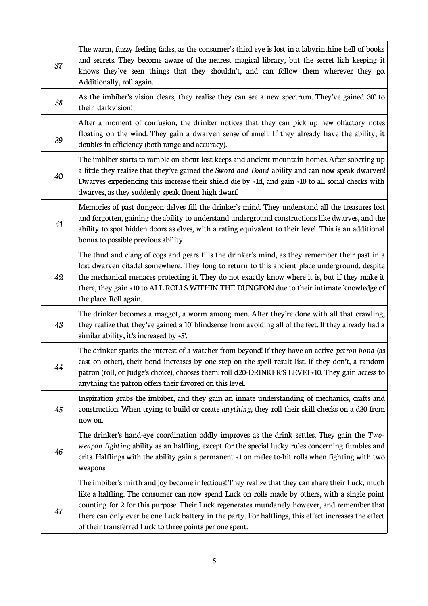| 37 | The warm, fuzzy feeling fades, as the consumer's third eye is lost in a labyrinthine hell of books<br>and secrets. They become aware of the nearest magical library, but the secret lich keeping it<br>knows they've seen things that they shouldn't, and can follow them wherever they go.<br>Additionally, roll again.                                                                                                                                               |
|----|------------------------------------------------------------------------------------------------------------------------------------------------------------------------------------------------------------------------------------------------------------------------------------------------------------------------------------------------------------------------------------------------------------------------------------------------------------------------|
| 38 | As the imbiber's vision clears, they realise they can see a new spectrum. They've gained 30' to<br>their darkvision!                                                                                                                                                                                                                                                                                                                                                   |
| 39 | After a moment of confusion, the drinker notices that they can pick up new olfactory notes<br>floating on the wind. They gain a dwarven sense of smell! If they already have the ability, it<br>doubles in efficiency (both range and accuracy).                                                                                                                                                                                                                       |
| 40 | The imbiber starts to ramble on about lost keeps and ancient mountain homes. After sobering up<br>a little they realize that they've gained the Sword and Board ability and can now speak dwarven!<br>Dwarves experiencing this increase their shield die by +1d, and gain +10 to all social checks with<br>dwarves, as they suddenly speak fluent high dwarf.                                                                                                         |
| 41 | Memories of past dungeon delves fill the drinker's mind. They understand all the treasures lost<br>and forgotten, gaining the ability to understand underground constructions like dwarves, and the<br>ability to spot hidden doors as elves, with a rating equivalent to their level. This is an additional<br>bonus to possible previous ability.                                                                                                                    |
| 42 | The thud and clang of cogs and gears fills the drinker's mind, as they remember their past in a<br>lost dwarven citadel somewhere. They long to return to this ancient place underground, despite<br>the mechanical menaces protecting it. They do not exactly know where it is, but if they make it<br>there, they gain +10 to ALL ROLLS WITHIN THE DUNGEON due to their intimate knowledge of<br>the place. Roll again.                                              |
| 43 | The drinker becomes a maggot, a worm among men. After they're done with all that crawling,<br>they realize that they've gained a 10' blindsense from avoiding all of the feet. If they already had a<br>similar ability, it's increased by $+5$ '.                                                                                                                                                                                                                     |
| 44 | The drinker sparks the interest of a watcher from beyond! If they have an active patron bond (as<br>cast on other), their bond increases by one step on the spell result list. If they don't, a random<br>patron (roll, or Judge's choice), chooses them: roll d20+DRINKER'S LEVEL+10. They gain access to<br>anything the patron offers their favored on this level.                                                                                                  |
| 45 | Inspiration grabs the imbiber, and they gain an innate understanding of mechanics, crafts and<br>construction. When trying to build or create anything, they roll their skill checks on a d30 from<br>now on.                                                                                                                                                                                                                                                          |
| 46 | The drinker's hand-eye coordination oddly improves as the drink settles. They gain the Two-<br>weapon fighting ability as an halfling, except for the special lucky rules concerning fumbles and<br>crits. Halflings with the ability gain a permanent +1 on melee to-hit rolls when fighting with two<br>weapons                                                                                                                                                      |
| 47 | The imbiber's mirth and joy become infectious! They realize that they can share their Luck, much<br>like a halfling. The consumer can now spend Luck on rolls made by others, with a single point<br>counting for 2 for this purpose. Their Luck regenerates mundanely however, and remember that<br>there can only ever be one Luck battery in the party. For halflings, this effect increases the effect<br>of their transferred Luck to three points per one spent. |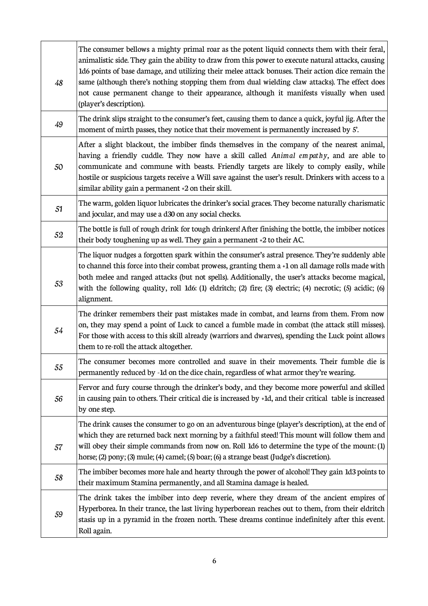| 48 | The consumer bellows a mighty primal roar as the potent liquid connects them with their feral,<br>animalistic side. They gain the ability to draw from this power to execute natural attacks, causing<br>1d6 points of base damage, and utilizing their melee attack bonuses. Their action dice remain the<br>same (although there's nothing stopping them from dual wielding claw attacks). The effect does<br>not cause permanent change to their appearance, although it manifests visually when used<br>(player's description). |
|----|-------------------------------------------------------------------------------------------------------------------------------------------------------------------------------------------------------------------------------------------------------------------------------------------------------------------------------------------------------------------------------------------------------------------------------------------------------------------------------------------------------------------------------------|
| 49 | The drink slips straight to the consumer's feet, causing them to dance a quick, joyful jig. After the<br>moment of mirth passes, they notice that their movement is permanently increased by 5'.                                                                                                                                                                                                                                                                                                                                    |
| 50 | After a slight blackout, the imbiber finds themselves in the company of the nearest animal,<br>having a friendly cuddle. They now have a skill called Animal empathy, and are able to<br>communicate and commune with beasts. Friendly targets are likely to comply easily, while<br>hostile or suspicious targets receive a Will save against the user's result. Drinkers with access to a<br>similar ability gain a permanent +2 on their skill.                                                                                  |
| 51 | The warm, golden liquor lubricates the drinker's social graces. They become naturally charismatic<br>and jocular, and may use a d30 on any social checks.                                                                                                                                                                                                                                                                                                                                                                           |
| 52 | The bottle is full of rough drink for tough drinkers! After finishing the bottle, the imbiber notices<br>their body toughening up as well. They gain a permanent +2 to their AC.                                                                                                                                                                                                                                                                                                                                                    |
| 53 | The liquor nudges a forgotten spark within the consumer's astral presence. They're suddenly able<br>to channel this force into their combat prowess, granting them a +1 on all damage rolls made with<br>both melee and ranged attacks (but not spells). Additionally, the user's attacks become magical,<br>with the following quality, roll 1d6: (1) eldritch; (2) fire; (3) electric; (4) necrotic; (5) acidic; (6)<br>alignment.                                                                                                |
| 54 | The drinker remembers their past mistakes made in combat, and learns from them. From now<br>on, they may spend a point of Luck to cancel a fumble made in combat (the attack still misses).<br>For those with access to this skill already (warriors and dwarves), spending the Luck point allows<br>them to re-roll the attack altogether.                                                                                                                                                                                         |
| 55 | The consumer becomes more controlled and suave in their movements. Their fumble die is<br>permanently reduced by -1d on the dice chain, regardless of what armor they're wearing.                                                                                                                                                                                                                                                                                                                                                   |
| 56 | Fervor and fury course through the drinker's body, and they become more powerful and skilled<br>in causing pain to others. Their critical die is increased by +1d, and their critical table is increased<br>by one step.                                                                                                                                                                                                                                                                                                            |
| 57 | The drink causes the consumer to go on an adventurous binge (player's description), at the end of<br>which they are returned back next morning by a faithful steed! This mount will follow them and<br>will obey their simple commands from now on. Roll 1d6 to determine the type of the mount: (1)<br>horse; (2) pony; (3) mule; (4) camel; (5) boar; (6) a strange beast (Judge's discretion).                                                                                                                                   |
| 58 | The imbiber becomes more hale and hearty through the power of alcohol! They gain 1d3 points to<br>their maximum Stamina permanently, and all Stamina damage is healed.                                                                                                                                                                                                                                                                                                                                                              |
| 59 | The drink takes the imbiber into deep reverie, where they dream of the ancient empires of<br>Hyperborea. In their trance, the last living hyperborean reaches out to them, from their eldritch<br>stasis up in a pyramid in the frozen north. These dreams continue indefinitely after this event.<br>Roll again.                                                                                                                                                                                                                   |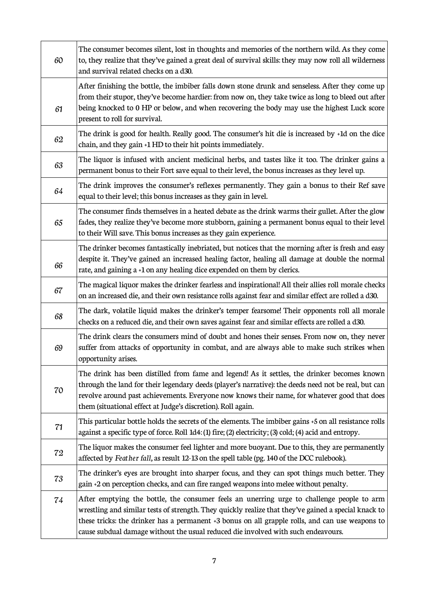| 60 | The consumer becomes silent, lost in thoughts and memories of the northern wild. As they come<br>to, they realize that they've gained a great deal of survival skills: they may now roll all wilderness<br>and survival related checks on a d30.                                                                                                                                          |
|----|-------------------------------------------------------------------------------------------------------------------------------------------------------------------------------------------------------------------------------------------------------------------------------------------------------------------------------------------------------------------------------------------|
| 61 | After finishing the bottle, the imbiber falls down stone drunk and senseless. After they come up<br>from their stupor, they've become hardier: from now on, they take twice as long to bleed out after<br>being knocked to 0 HP or below, and when recovering the body may use the highest Luck score<br>present to roll for survival.                                                    |
| 62 | The drink is good for health. Really good. The consumer's hit die is increased by +1d on the dice<br>chain, and they gain +1 HD to their hit points immediately.                                                                                                                                                                                                                          |
| 63 | The liquor is infused with ancient medicinal herbs, and tastes like it too. The drinker gains a<br>permanent bonus to their Fort save equal to their level, the bonus increases as they level up.                                                                                                                                                                                         |
| 64 | The drink improves the consumer's reflexes permanently. They gain a bonus to their Ref save<br>equal to their level; this bonus increases as they gain in level.                                                                                                                                                                                                                          |
| 65 | The consumer finds themselves in a heated debate as the drink warms their gullet. After the glow<br>fades, they realize they've become more stubborn, gaining a permanent bonus equal to their level<br>to their Will save. This bonus increases as they gain experience.                                                                                                                 |
| 66 | The drinker becomes fantastically inebriated, but notices that the morning after is fresh and easy<br>despite it. They've gained an increased healing factor, healing all damage at double the normal<br>rate, and gaining a +1 on any healing dice expended on them by clerics.                                                                                                          |
| 67 | The magical liquor makes the drinker fearless and inspirational! All their allies roll morale checks<br>on an increased die, and their own resistance rolls against fear and similar effect are rolled a d30.                                                                                                                                                                             |
| 68 | The dark, volatile liquid makes the drinker's temper fearsome! Their opponents roll all morale<br>checks on a reduced die, and their own saves against fear and similar effects are rolled a d30.                                                                                                                                                                                         |
| 69 | The drink clears the consumers mind of doubt and hones their senses. From now on, they never<br>suffer from attacks of opportunity in combat, and are always able to make such strikes when<br>opportunity arises.                                                                                                                                                                        |
| 70 | The drink has been distilled from fame and legend! As it settles, the drinker becomes known<br>through the land for their legendary deeds (player's narrative): the deeds need not be real, but can<br>revolve around past achievements. Everyone now knows their name, for whatever good that does<br>them (situational effect at Judge's discretion). Roll again.                       |
| 71 | This particular bottle holds the secrets of the elements. The imbiber gains +5 on all resistance rolls<br>against a specific type of force. Roll 1d4: (1) fire; (2) electricity; (3) cold; (4) acid and entropy.                                                                                                                                                                          |
| 72 | The liquor makes the consumer feel lighter and more buoyant. Due to this, they are permanently<br>affected by Feather fall, as result 12-13 on the spell table (pg. 140 of the DCC rulebook).                                                                                                                                                                                             |
| 73 | The drinker's eyes are brought into sharper focus, and they can spot things much better. They<br>gain +2 on perception checks, and can fire ranged weapons into melee without penalty.                                                                                                                                                                                                    |
| 74 | After emptying the bottle, the consumer feels an unerring urge to challenge people to arm<br>wrestling and similar tests of strength. They quickly realize that they've gained a special knack to<br>these tricks: the drinker has a permanent +3 bonus on all grapple rolls, and can use weapons to<br>cause subdual damage without the usual reduced die involved with such endeavours. |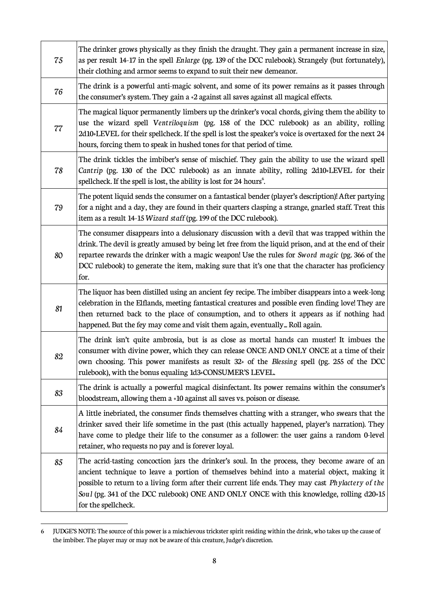| 75 | The drinker grows physically as they finish the draught. They gain a permanent increase in size,<br>as per result 14-17 in the spell Enlarge (pg. 139 of the DCC rulebook). Strangely (but fortunately),<br>their clothing and armor seems to expand to suit their new demeanor.                                                                                                                                      |
|----|-----------------------------------------------------------------------------------------------------------------------------------------------------------------------------------------------------------------------------------------------------------------------------------------------------------------------------------------------------------------------------------------------------------------------|
| 76 | The drink is a powerful anti-magic solvent, and some of its power remains as it passes through<br>the consumer's system. They gain a $+2$ against all saves against all magical effects.                                                                                                                                                                                                                              |
| 77 | The magical liquor permanently limbers up the drinker's vocal chords, giving them the ability to<br>use the wizard spell Ventriloquism (pg. 158 of the DCC rulebook) as an ability, rolling<br>2d10+LEVEL for their spellcheck. If the spell is lost the speaker's voice is overtaxed for the next 24<br>hours, forcing them to speak in hushed tones for that period of time.                                        |
| 78 | The drink tickles the imbiber's sense of mischief. They gain the ability to use the wizard spell<br>Cantrip (pg. 130 of the DCC rulebook) as an innate ability, rolling 2d10+LEVEL for their<br>spellcheck. If the spell is lost, the ability is lost for 24 hours <sup>6</sup> .                                                                                                                                     |
| 79 | The potent liquid sends the consumer on a fantastical bender (player's description)! After partying<br>for a night and a day, they are found in their quarters clasping a strange, gnarled staff. Treat this<br>item as a result 14-15 Wizard staff (pg. 199 of the DCC rulebook).                                                                                                                                    |
| 80 | The consumer disappears into a delusionary discussion with a devil that was trapped within the<br>drink. The devil is greatly amused by being let free from the liquid prison, and at the end of their<br>repartee rewards the drinker with a magic weapon! Use the rules for Sword magic (pg. 366 of the<br>DCC rulebook) to generate the item, making sure that it's one that the character has proficiency<br>for. |
| 81 | The liquor has been distilled using an ancient fey recipe. The imbiber disappears into a week-long<br>celebration in the Elflands, meeting fantastical creatures and possible even finding love! They are<br>then returned back to the place of consumption, and to others it appears as if nothing had<br>happened. But the fey may come and visit them again, eventually Roll again.                                |
| 82 | The drink isn't quite ambrosia, but is as close as mortal hands can muster! It imbues the<br>consumer with divine power, which they can release ONCE AND ONLY ONCE at a time of their<br>own choosing. This power manifests as result 32+ of the Blessing spell (pg. 255 of the DCC<br>rulebook), with the bonus equaling 1d3+CONSUMER'S LEVEL.                                                                       |
| 83 | The drink is actually a powerful magical disinfectant. Its power remains within the consumer's<br>bloodstream, allowing them a +10 against all saves vs. poison or disease.                                                                                                                                                                                                                                           |
| 84 | A little inebriated, the consumer finds themselves chatting with a stranger, who swears that the<br>drinker saved their life sometime in the past (this actually happened, player's narration). They<br>have come to pledge their life to the consumer as a follower: the user gains a random 0-level<br>retainer, who requests no pay and is forever loyal.                                                          |
| 85 | The acrid-tasting concoction jars the drinker's soul. In the process, they become aware of an<br>ancient technique to leave a portion of themselves behind into a material object, making it<br>possible to return to a living form after their current life ends. They may cast Phylactery of the<br>Soul (pg. 341 of the DCC rulebook) ONE AND ONLY ONCE with this knowledge, rolling d20+15<br>for the spellcheck. |

<span id="page-7-0"></span><sup>6</sup> JUDGE'S NOTE: The source of this power is a mischievous trickster spirit residing within the drink, who takes up the cause of the imbiber. The player may or may not be aware of this creature, Judge's discretion.